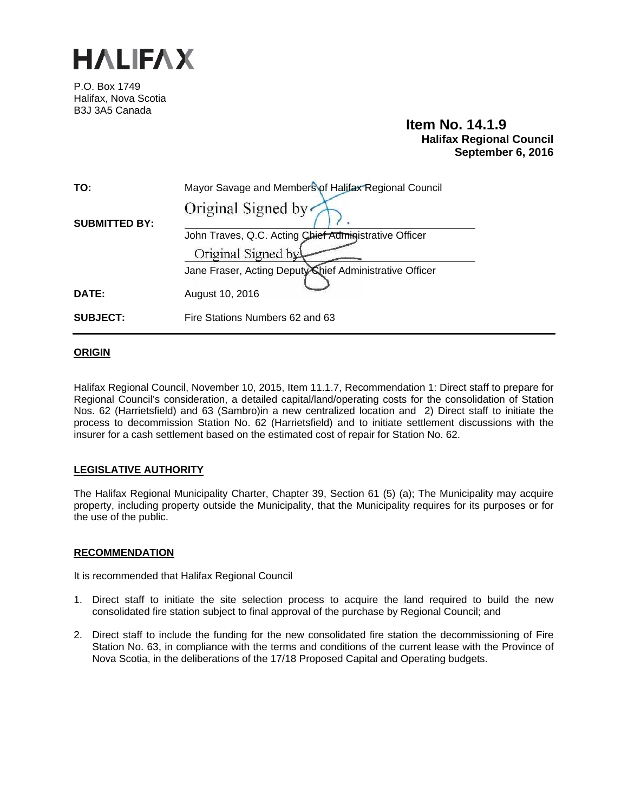

P.O. Box 1749 Halifax, Nova Scotia B3J 3A5 Canada

# **Item No. 14.1.9 Halifax Regional Council September 6, 2016**

| TO:                  | Mayor Savage and Members of Halifax Regional Council    |
|----------------------|---------------------------------------------------------|
| <b>SUBMITTED BY:</b> | Original Signed by                                      |
|                      | John Traves, Q.C. Acting Chief Administrative Officer   |
|                      | Original Signed by                                      |
|                      | Jane Fraser, Acting Deputy Chief Administrative Officer |
| <b>DATE:</b>         | August 10, 2016                                         |
| <b>SUBJECT:</b>      | Fire Stations Numbers 62 and 63                         |

# **ORIGIN**

Halifax Regional Council, November 10, 2015, Item 11.1.7, Recommendation 1: Direct staff to prepare for Regional Council's consideration, a detailed capital/land/operating costs for the consolidation of Station Nos. 62 (Harrietsfield) and 63 (Sambro)in a new centralized location and 2) Direct staff to initiate the process to decommission Station No. 62 (Harrietsfield) and to initiate settlement discussions with the insurer for a cash settlement based on the estimated cost of repair for Station No. 62.

# **LEGISLATIVE AUTHORITY**

The Halifax Regional Municipality Charter, Chapter 39, Section 61 (5) (a); The Municipality may acquire property, including property outside the Municipality, that the Municipality requires for its purposes or for the use of the public.

# **RECOMMENDATION**

It is recommended that Halifax Regional Council

- 1. Direct staff to initiate the site selection process to acquire the land required to build the new consolidated fire station subject to final approval of the purchase by Regional Council; and
- 2. Direct staff to include the funding for the new consolidated fire station the decommissioning of Fire Station No. 63, in compliance with the terms and conditions of the current lease with the Province of Nova Scotia, in the deliberations of the 17/18 Proposed Capital and Operating budgets.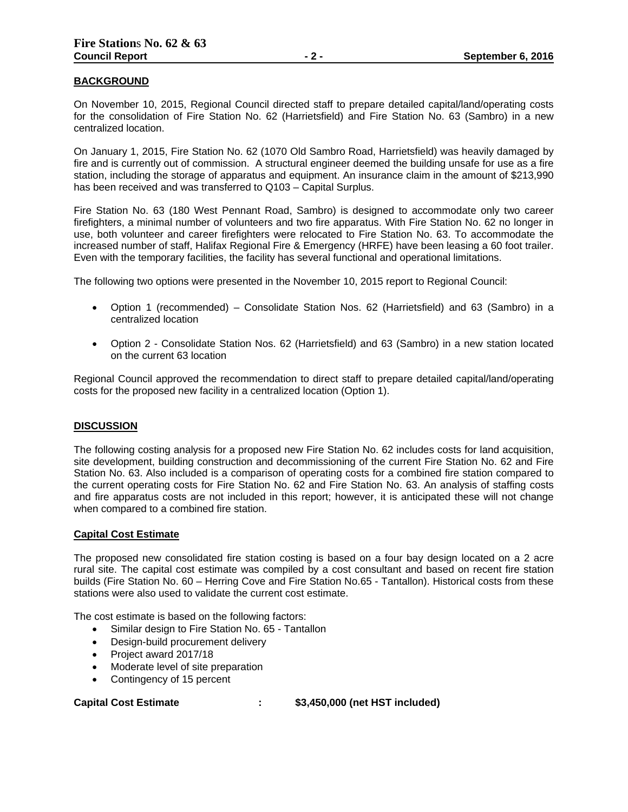# **BACKGROUND**

On November 10, 2015, Regional Council directed staff to prepare detailed capital/land/operating costs for the consolidation of Fire Station No. 62 (Harrietsfield) and Fire Station No. 63 (Sambro) in a new centralized location.

On January 1, 2015, Fire Station No. 62 (1070 Old Sambro Road, Harrietsfield) was heavily damaged by fire and is currently out of commission. A structural engineer deemed the building unsafe for use as a fire station, including the storage of apparatus and equipment. An insurance claim in the amount of \$213,990 has been received and was transferred to Q103 – Capital Surplus.

Fire Station No. 63 (180 West Pennant Road, Sambro) is designed to accommodate only two career firefighters, a minimal number of volunteers and two fire apparatus. With Fire Station No. 62 no longer in use, both volunteer and career firefighters were relocated to Fire Station No. 63. To accommodate the increased number of staff, Halifax Regional Fire & Emergency (HRFE) have been leasing a 60 foot trailer. Even with the temporary facilities, the facility has several functional and operational limitations.

The following two options were presented in the November 10, 2015 report to Regional Council:

- Option 1 (recommended) Consolidate Station Nos. 62 (Harrietsfield) and 63 (Sambro) in a centralized location
- Option 2 Consolidate Station Nos. 62 (Harrietsfield) and 63 (Sambro) in a new station located on the current 63 location

Regional Council approved the recommendation to direct staff to prepare detailed capital/land/operating costs for the proposed new facility in a centralized location (Option 1).

#### **DISCUSSION**

The following costing analysis for a proposed new Fire Station No. 62 includes costs for land acquisition, site development, building construction and decommissioning of the current Fire Station No. 62 and Fire Station No. 63. Also included is a comparison of operating costs for a combined fire station compared to the current operating costs for Fire Station No. 62 and Fire Station No. 63. An analysis of staffing costs and fire apparatus costs are not included in this report; however, it is anticipated these will not change when compared to a combined fire station.

#### **Capital Cost Estimate**

The proposed new consolidated fire station costing is based on a four bay design located on a 2 acre rural site. The capital cost estimate was compiled by a cost consultant and based on recent fire station builds (Fire Station No. 60 – Herring Cove and Fire Station No.65 - Tantallon). Historical costs from these stations were also used to validate the current cost estimate.

The cost estimate is based on the following factors:

- Similar design to Fire Station No. 65 Tantallon
- Design-build procurement delivery
- Project award 2017/18
- Moderate level of site preparation
- Contingency of 15 percent

**Capital Cost Estimate : \$3,450,000 (net HST included)**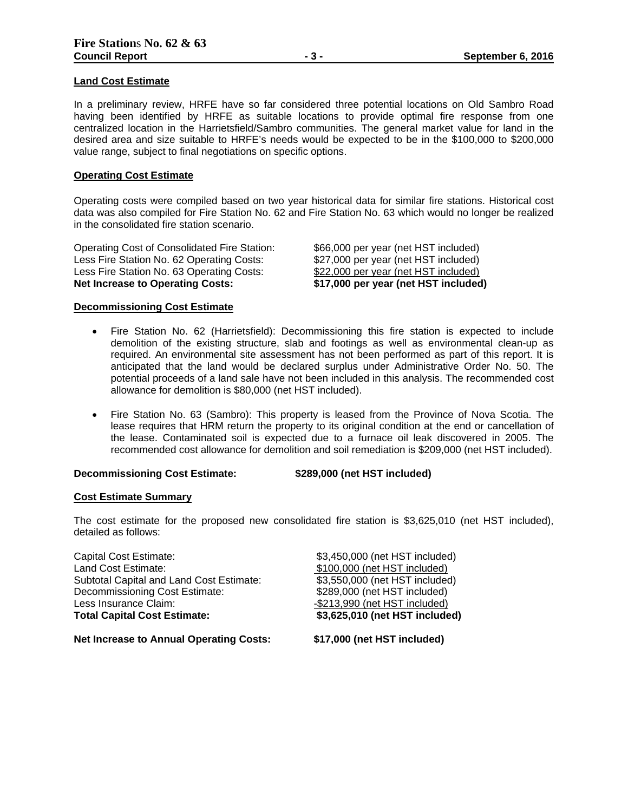#### **Land Cost Estimate**

In a preliminary review, HRFE have so far considered three potential locations on Old Sambro Road having been identified by HRFE as suitable locations to provide optimal fire response from one centralized location in the Harrietsfield/Sambro communities. The general market value for land in the desired area and size suitable to HRFE's needs would be expected to be in the \$100,000 to \$200,000 value range, subject to final negotiations on specific options.

#### **Operating Cost Estimate**

Operating costs were compiled based on two year historical data for similar fire stations. Historical cost data was also compiled for Fire Station No. 62 and Fire Station No. 63 which would no longer be realized in the consolidated fire station scenario.

Operating Cost of Consolidated Fire Station: \$66,000 per year (net HST included) Less Fire Station No. 62 Operating Costs: \$27,000 per year (net HST included) Less Fire Station No. 63 Operating Costs: \$22,000 per year (net HST included) **Net Increase to Operating Costs: \$17,000 per year (net HST included)**

#### **Decommissioning Cost Estimate**

- Fire Station No. 62 (Harrietsfield): Decommissioning this fire station is expected to include demolition of the existing structure, slab and footings as well as environmental clean-up as required. An environmental site assessment has not been performed as part of this report. It is anticipated that the land would be declared surplus under Administrative Order No. 50. The potential proceeds of a land sale have not been included in this analysis. The recommended cost allowance for demolition is \$80,000 (net HST included).
- Fire Station No. 63 (Sambro): This property is leased from the Province of Nova Scotia. The lease requires that HRM return the property to its original condition at the end or cancellation of the lease. Contaminated soil is expected due to a furnace oil leak discovered in 2005. The recommended cost allowance for demolition and soil remediation is \$209,000 (net HST included).

# **Decommissioning Cost Estimate: \$289,000 (net HST included)**

#### **Cost Estimate Summary**

The cost estimate for the proposed new consolidated fire station is \$3,625,010 (net HST included), detailed as follows:

Capital Cost Estimate: \$3,450,000 (net HST included) Land Cost Estimate:  $$100,000$  (net HST included) Subtotal Capital and Land Cost Estimate: \$3,550,000 (net HST included) Decommissioning Cost Estimate: \$289,000 (net HST included) Less Insurance Claim:<br>
Total Capital Cost Estimate: **- 1990** (net HST included)<br> **1990** (net HST include

**Total Capital Cost Estimate: \$3,625,010 (net HST included)**

**Net Increase to Annual Operating Costs: \$17,000 (net HST included)**